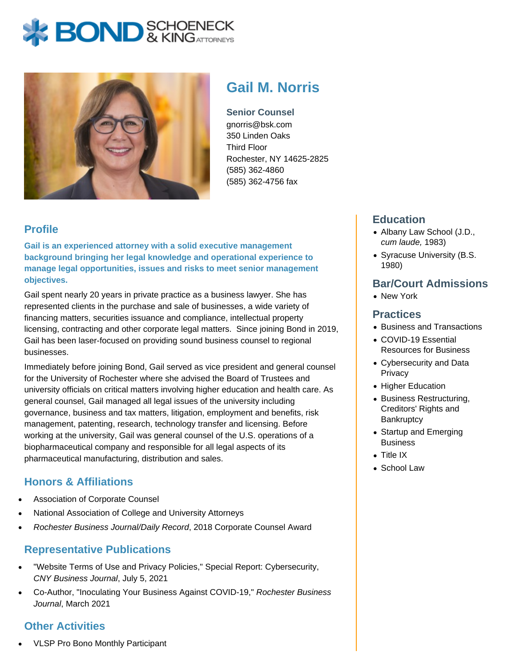# **BOND** & KING ATTORNECK



## **Gail M. Norris**

**Senior Counsel** gnorris@bsk.com 350 Linden Oaks Third Floor Rochester, NY 14625-2825 (585) 362-4860 (585) 362-4756 fax

### **Profile**

**Gail is an experienced attorney with a solid executive management background bringing her legal knowledge and operational experience to manage legal opportunities, issues and risks to meet senior management objectives.**

Gail spent nearly 20 years in private practice as a business lawyer. She has represented clients in the purchase and sale of businesses, a wide variety of financing matters, securities issuance and compliance, intellectual property licensing, contracting and other corporate legal matters. Since joining Bond in 2019, Gail has been laser-focused on providing sound business counsel to regional businesses.

Immediately before joining Bond, Gail served as vice president and general counsel for the University of Rochester where she advised the Board of Trustees and university officials on critical matters involving higher education and health care. As general counsel, Gail managed all legal issues of the university including governance, business and tax matters, litigation, employment and benefits, risk management, patenting, research, technology transfer and licensing. Before working at the university, Gail was general counsel of the U.S. operations of a biopharmaceutical company and responsible for all legal aspects of its pharmaceutical manufacturing, distribution and sales.

#### **Honors & Affiliations**

- Association of Corporate Counsel
- National Association of College and University Attorneys
- Rochester Business Journal/Daily Record, 2018 Corporate Counsel Award

#### **Representative Publications**

- "Website Terms of Use and Privacy Policies," Special Report: Cybersecurity, CNY Business Journal, July 5, 2021
- Co-Author, "Inoculating Your Business Against COVID-19," Rochester Business Journal, March 2021

#### **Other Activities**

VLSP Pro Bono Monthly Participant

#### **Education**

- Albany Law School (J.D., cum laude, 1983)
- Syracuse University (B.S. 1980)

#### **Bar/Court Admissions**

• New York

#### **Practices**

- Business and Transactions
- COVID-19 Essential Resources for Business
- Cybersecurity and Data **Privacy**
- Higher Education
- Business Restructuring, Creditors' Rights and **Bankruptcy**
- Startup and Emerging **Business**
- Title IX
- School Law